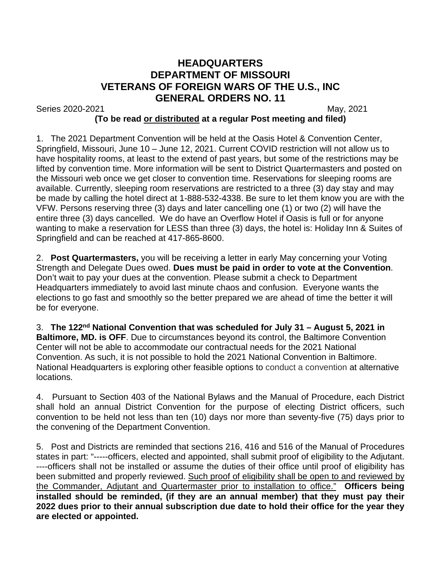## **HEADQUARTERS DEPARTMENT OF MISSOURI VETERANS OF FOREIGN WARS OF THE U.S., INC GENERAL ORDERS NO. 11**

Series 2020-2021 May, 2021

## **(To be read or distributed at a regular Post meeting and filed)**

1. The 2021 Department Convention will be held at the Oasis Hotel & Convention Center, Springfield, Missouri, June 10 – June 12, 2021. Current COVID restriction will not allow us to have hospitality rooms, at least to the extend of past years, but some of the restrictions may be lifted by convention time. More information will be sent to District Quartermasters and posted on the Missouri web once we get closer to convention time. Reservations for sleeping rooms are available. Currently, sleeping room reservations are restricted to a three (3) day stay and may be made by calling the hotel direct at 1-888-532-4338. Be sure to let them know you are with the VFW. Persons reserving three (3) days and later cancelling one (1) or two (2) will have the entire three (3) days cancelled. We do have an Overflow Hotel if Oasis is full or for anyone wanting to make a reservation for LESS than three (3) days, the hotel is: Holiday Inn & Suites of Springfield and can be reached at 417-865-8600.

2. **Post Quartermasters,** you will be receiving a letter in early May concerning your Voting Strength and Delegate Dues owed. **Dues must be paid in order to vote at the Convention**. Don't wait to pay your dues at the convention. Please submit a check to Department Headquarters immediately to avoid last minute chaos and confusion. Everyone wants the elections to go fast and smoothly so the better prepared we are ahead of time the better it will be for everyone.

3. **The 122nd National Convention that was scheduled for July 31 – August 5, 2021 in Baltimore, MD. is OFF**. Due to circumstances beyond its control, the Baltimore Convention Center will not be able to accommodate our contractual needs for the 2021 National Convention. As such, it is not possible to hold the 2021 National Convention in Baltimore. National Headquarters is exploring other feasible options to conduct a convention at alternative locations.

4. Pursuant to Section 403 of the National Bylaws and the Manual of Procedure, each District shall hold an annual District Convention for the purpose of electing District officers, such convention to be held not less than ten (10) days nor more than seventy-five (75) days prior to the convening of the Department Convention.

5. Post and Districts are reminded that sections 216, 416 and 516 of the Manual of Procedures states in part: "-----officers, elected and appointed, shall submit proof of eligibility to the Adjutant. ----officers shall not be installed or assume the duties of their office until proof of eligibility has been submitted and properly reviewed. Such proof of eligibility shall be open to and reviewed by the Commander, Adjutant and Quartermaster prior to installation to office." **Officers being installed should be reminded, (if they are an annual member) that they must pay their 2022 dues prior to their annual subscription due date to hold their office for the year they are elected or appointed.**